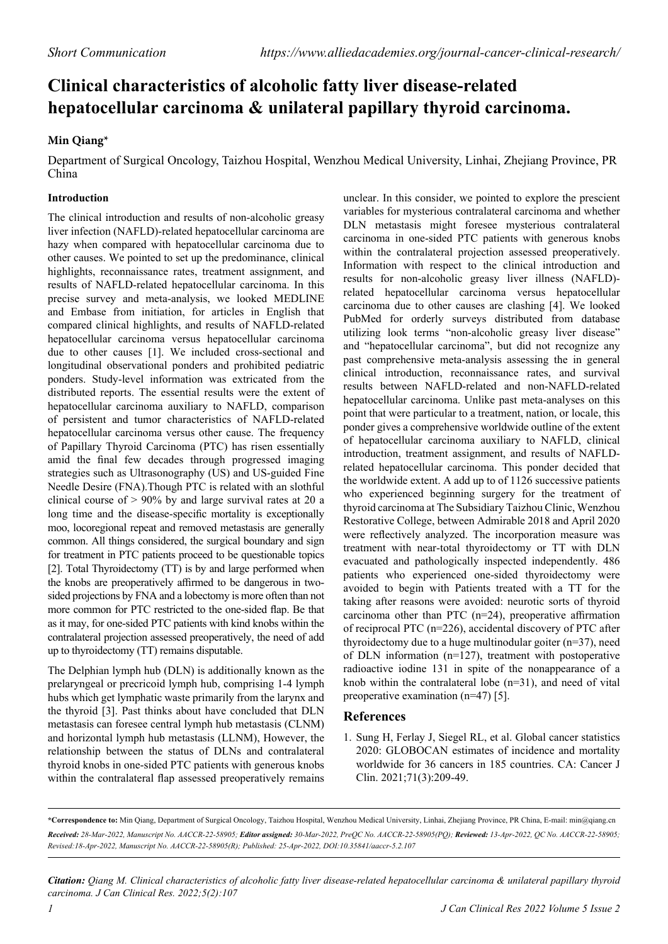## **Clinical characteristics of alcoholic fatty liver disease-related hepatocellular carcinoma & unilateral papillary thyroid carcinoma.**

## **Min Qiang\***

Department of Surgical Oncology, Taizhou Hospital, Wenzhou Medical University, Linhai, Zhejiang Province, PR China

## **Introduction**

The clinical introduction and results of non-alcoholic greasy liver infection (NAFLD)-related hepatocellular carcinoma are hazy when compared with hepatocellular carcinoma due to other causes. We pointed to set up the predominance, clinical highlights, reconnaissance rates, treatment assignment, and results of NAFLD-related hepatocellular carcinoma. In this precise survey and meta-analysis, we looked MEDLINE and Embase from initiation, for articles in English that compared clinical highlights, and results of NAFLD-related hepatocellular carcinoma versus hepatocellular carcinoma due to other causes [1]. We included cross-sectional and longitudinal observational ponders and prohibited pediatric ponders. Study-level information was extricated from the distributed reports. The essential results were the extent of hepatocellular carcinoma auxiliary to NAFLD, comparison of persistent and tumor characteristics of NAFLD-related hepatocellular carcinoma versus other cause. The frequency of Papillary Thyroid Carcinoma (PTC) has risen essentially amid the final few decades through progressed imaging strategies such as Ultrasonography (US) and US-guided Fine Needle Desire (FNA).Though PTC is related with an slothful clinical course of > 90% by and large survival rates at 20 a long time and the disease-specific mortality is exceptionally moo, locoregional repeat and removed metastasis are generally common. All things considered, the surgical boundary and sign for treatment in PTC patients proceed to be questionable topics [2]. Total Thyroidectomy (TT) is by and large performed when the knobs are preoperatively affirmed to be dangerous in twosided projections by FNA and a lobectomy is more often than not more common for PTC restricted to the one-sided flap. Be that as it may, for one-sided PTC patients with kind knobs within the contralateral projection assessed preoperatively, the need of add up to thyroidectomy (TT) remains disputable.

The Delphian lymph hub (DLN) is additionally known as the prelaryngeal or precricoid lymph hub, comprising 1-4 lymph hubs which get lymphatic waste primarily from the larynx and the thyroid [3]. Past thinks about have concluded that DLN metastasis can foresee central lymph hub metastasis (CLNM) and horizontal lymph hub metastasis (LLNM), However, the relationship between the status of DLNs and contralateral thyroid knobs in one-sided PTC patients with generous knobs within the contralateral flap assessed preoperatively remains

unclear. In this consider, we pointed to explore the prescient variables for mysterious contralateral carcinoma and whether DLN metastasis might foresee mysterious contralateral carcinoma in one-sided PTC patients with generous knobs within the contralateral projection assessed preoperatively. Information with respect to the clinical introduction and results for non-alcoholic greasy liver illness (NAFLD) related hepatocellular carcinoma versus hepatocellular carcinoma due to other causes are clashing [4]. We looked PubMed for orderly surveys distributed from database utilizing look terms "non-alcoholic greasy liver disease" and "hepatocellular carcinoma", but did not recognize any past comprehensive meta-analysis assessing the in general clinical introduction, reconnaissance rates, and survival results between NAFLD-related and non-NAFLD-related hepatocellular carcinoma. Unlike past meta-analyses on this point that were particular to a treatment, nation, or locale, this ponder gives a comprehensive worldwide outline of the extent of hepatocellular carcinoma auxiliary to NAFLD, clinical introduction, treatment assignment, and results of NAFLDrelated hepatocellular carcinoma. This ponder decided that the worldwide extent. A add up to of 1126 successive patients who experienced beginning surgery for the treatment of thyroid carcinoma at The Subsidiary Taizhou Clinic, Wenzhou Restorative College, between Admirable 2018 and April 2020 were reflectively analyzed. The incorporation measure was treatment with near-total thyroidectomy or TT with DLN evacuated and pathologically inspected independently. 486 patients who experienced one-sided thyroidectomy were avoided to begin with Patients treated with a TT for the taking after reasons were avoided: neurotic sorts of thyroid carcinoma other than PTC (n=24), preoperative affirmation of reciprocal PTC (n=226), accidental discovery of PTC after thyroidectomy due to a huge multinodular goiter  $(n=37)$ , need of DLN information (n=127), treatment with postoperative radioactive iodine 131 in spite of the nonappearance of a knob within the contralateral lobe (n=31), and need of vital preoperative examination (n=47) [5].

## **References**

1. Sung H, Ferlay J, Siegel RL, et al. [Global cancer statistics](https://acsjournals.onlinelibrary.wiley.com/doi/full/10.3322/caac.21660)  [2020: GLOBOCAN estimates of incidence and mortality](https://acsjournals.onlinelibrary.wiley.com/doi/full/10.3322/caac.21660)  [worldwide for 36 cancers in 185 countries.](https://acsjournals.onlinelibrary.wiley.com/doi/full/10.3322/caac.21660) CA: Cancer J Clin. 2021;71(3):209-49.

*Citation: Qiang M. Clinical characteristics of alcoholic fatty liver disease-related hepatocellular carcinoma & unilateral papillary thyroid carcinoma. J Can Clinical Res. 2022;5(2):107*

**<sup>\*</sup>Correspondence to:** Min Qiang, Department of Surgical Oncology, Taizhou Hospital, Wenzhou Medical University, Linhai, Zhejiang Province, PR China, E-mail: min@qiang.cn *Received: 28-Mar-2022, Manuscript No. AACCR-22-58905; Editor assigned: 30-Mar-2022, PreQC No. AACCR-22-58905(PQ); Reviewed: 13-Apr-2022, QC No. AACCR-22-58905; Revised:18-Apr-2022, Manuscript No. AACCR-22-58905(R); Published: 25-Apr-2022, DOI:10.35841/aaccr-5.2.107*